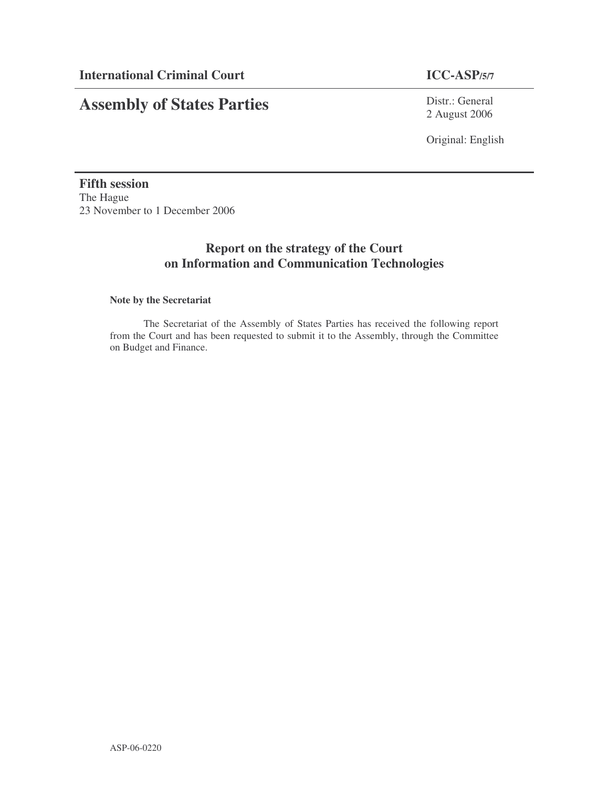# **Assembly of States Parties**

Distr.: General 2 August 2006

Original: English

**Fifth session** The Hague 23 November to 1 December 2006

## **Report on the strategy of the Court on Information and Communication Technologies**

#### **Note by the Secretariat**

The Secretariat of the Assembly of States Parties has received the following report from the Court and has been requested to submit it to the Assembly, through the Committee on Budget and Finance.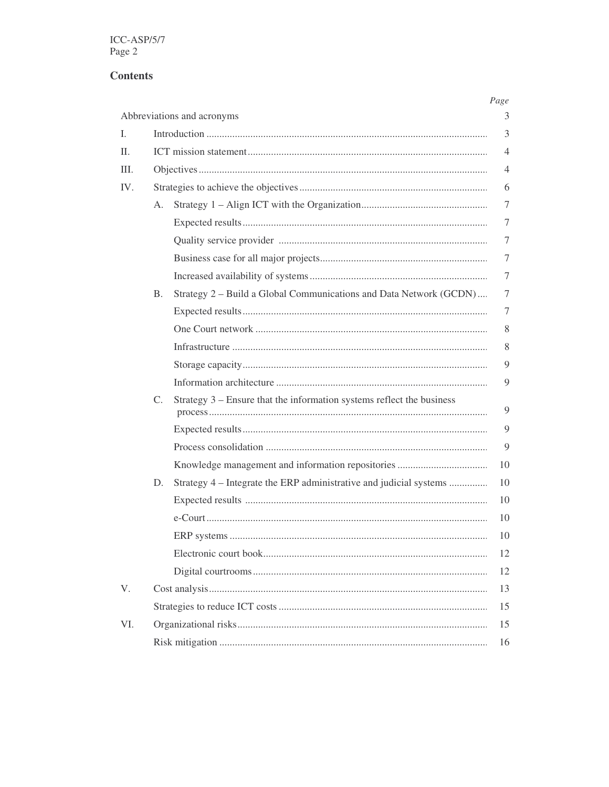## **Contents**

| ۰,<br>--<br>$\sim$<br>۰. |
|--------------------------|
|--------------------------|

|      |           | Abbreviations and acronyms                                            | 3              |  |
|------|-----------|-----------------------------------------------------------------------|----------------|--|
| I.   |           |                                                                       |                |  |
| П.   |           |                                                                       |                |  |
| III. |           |                                                                       |                |  |
| IV.  |           |                                                                       |                |  |
|      | А.        |                                                                       | $\overline{7}$ |  |
|      |           |                                                                       | $\overline{7}$ |  |
|      |           |                                                                       | $\overline{7}$ |  |
|      |           |                                                                       | $\tau$         |  |
|      |           |                                                                       | $\overline{7}$ |  |
|      | <b>B.</b> | Strategy 2 – Build a Global Communications and Data Network (GCDN)    | $\overline{7}$ |  |
|      |           |                                                                       | 7              |  |
|      |           |                                                                       | 8              |  |
|      |           |                                                                       | 8              |  |
|      |           |                                                                       | 9              |  |
|      |           |                                                                       | 9              |  |
|      | C.        | Strategy 3 – Ensure that the information systems reflect the business | 9              |  |
|      |           |                                                                       | 9              |  |
|      |           |                                                                       | 9              |  |
|      |           |                                                                       | 10             |  |
|      | D.        | Strategy 4 – Integrate the ERP administrative and judicial systems    | 10             |  |
|      |           |                                                                       | 10             |  |
|      |           |                                                                       | 10             |  |
|      |           |                                                                       | 10             |  |
|      |           |                                                                       | 12             |  |
|      |           |                                                                       | 12             |  |
| V.   | 13        |                                                                       |                |  |
|      |           |                                                                       | 15             |  |
| VI.  |           |                                                                       | 15             |  |
|      |           |                                                                       | 16             |  |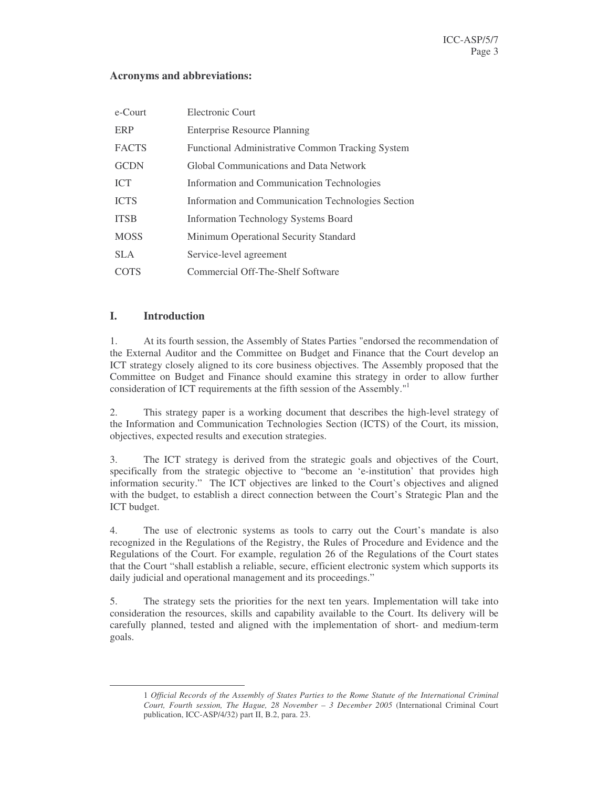#### **Acronyms and abbreviations:**

| e-Court      | Electronic Court                                   |
|--------------|----------------------------------------------------|
| <b>ERP</b>   | <b>Enterprise Resource Planning</b>                |
| <b>FACTS</b> | Functional Administrative Common Tracking System   |
| <b>GCDN</b>  | Global Communications and Data Network             |
| ICT          | Information and Communication Technologies         |
| <b>ICTS</b>  | Information and Communication Technologies Section |
| <b>ITSB</b>  | <b>Information Technology Systems Board</b>        |
| <b>MOSS</b>  | Minimum Operational Security Standard              |
| <b>SLA</b>   | Service-level agreement                            |
| COTS         | Commercial Off-The-Shelf Software                  |

#### **I. Introduction**

1. At its fourth session, the Assembly of States Parties "endorsed the recommendation of the External Auditor and the Committee on Budget and Finance that the Court develop an ICT strategy closely aligned to its core business objectives. The Assembly proposed that the Committee on Budget and Finance should examine this strategy in order to allow further consideration of ICT requirements at the fifth session of the Assembly."<sup>1</sup>

2. This strategy paper is a working document that describes the high-level strategy of the Information and Communication Technologies Section (ICTS) of the Court, its mission, objectives, expected results and execution strategies.

3. The ICT strategy is derived from the strategic goals and objectives of the Court, specifically from the strategic objective to "become an 'e-institution' that provides high information security." The ICT objectives are linked to the Court's objectives and aligned with the budget, to establish a direct connection between the Court's Strategic Plan and the ICT budget.

4. The use of electronic systems as tools to carry out the Court's mandate is also recognized in the Regulations of the Registry, the Rules of Procedure and Evidence and the Regulations of the Court. For example, regulation 26 of the Regulations of the Court states that the Court "shall establish a reliable, secure, efficient electronic system which supports its daily judicial and operational management and its proceedings."

5. The strategy sets the priorities for the next ten years. Implementation will take into consideration the resources, skills and capability available to the Court. Its delivery will be carefully planned, tested and aligned with the implementation of short- and medium-term goals.

<sup>1</sup> *Official Records of the Assembly of States Parties to the Rome Statute of the International Criminal Court, Fourth session, The Hague, 28 November – 3 December 2005* (International Criminal Court publication, ICC-ASP/4/32) part II, B.2, para. 23.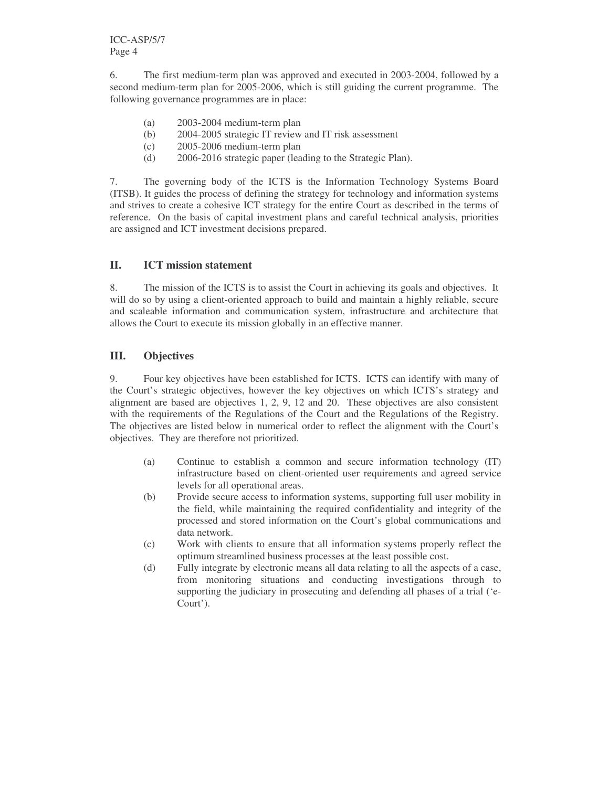6. The first medium-term plan was approved and executed in 2003-2004, followed by a second medium-term plan for 2005-2006, which is still guiding the current programme. The following governance programmes are in place:

- (a) 2003-2004 medium-term plan
- (b) 2004-2005 strategic IT review and IT risk assessment
- (c) 2005-2006 medium-term plan
- (d) 2006-2016 strategic paper (leading to the Strategic Plan).

7. The governing body of the ICTS is the Information Technology Systems Board (ITSB). It guides the process of defining the strategy for technology and information systems and strives to create a cohesive ICT strategy for the entire Court as described in the terms of reference. On the basis of capital investment plans and careful technical analysis, priorities are assigned and ICT investment decisions prepared.

#### **II. ICT mission statement**

8. The mission of the ICTS is to assist the Court in achieving its goals and objectives. It will do so by using a client-oriented approach to build and maintain a highly reliable, secure and scaleable information and communication system, infrastructure and architecture that allows the Court to execute its mission globally in an effective manner.

#### **III. Objectives**

9. Four key objectives have been established for ICTS. ICTS can identify with many of the Court's strategic objectives, however the key objectives on which ICTS's strategy and alignment are based are objectives 1, 2, 9, 12 and 20. These objectives are also consistent with the requirements of the Regulations of the Court and the Regulations of the Registry. The objectives are listed below in numerical order to reflect the alignment with the Court's objectives. They are therefore not prioritized.

- (a) Continue to establish a common and secure information technology (IT) infrastructure based on client-oriented user requirements and agreed service levels for all operational areas.
- (b) Provide secure access to information systems, supporting full user mobility in the field, while maintaining the required confidentiality and integrity of the processed and stored information on the Court's global communications and data network.
- (c) Work with clients to ensure that all information systems properly reflect the optimum streamlined business processes at the least possible cost.
- (d) Fully integrate by electronic means all data relating to all the aspects of a case, from monitoring situations and conducting investigations through to supporting the judiciary in prosecuting and defending all phases of a trial ('e-Court').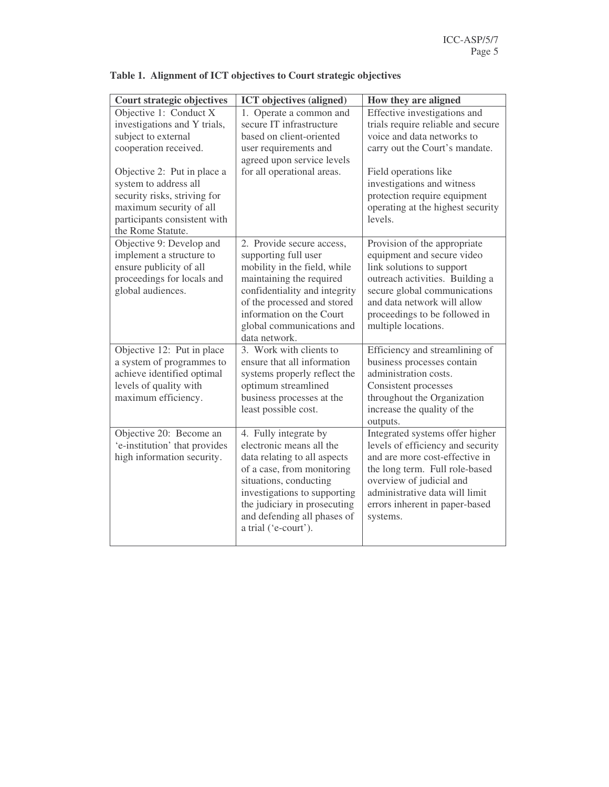| <b>Court strategic objectives</b>                                                                                                                                                                                                                                              | <b>ICT</b> objectives (aligned)                                                                                                                                                                                                                                  | How they are aligned                                                                                                                                                                                                                                                      |
|--------------------------------------------------------------------------------------------------------------------------------------------------------------------------------------------------------------------------------------------------------------------------------|------------------------------------------------------------------------------------------------------------------------------------------------------------------------------------------------------------------------------------------------------------------|---------------------------------------------------------------------------------------------------------------------------------------------------------------------------------------------------------------------------------------------------------------------------|
| Objective 1: Conduct X<br>investigations and Y trials,<br>subject to external<br>cooperation received.<br>Objective 2: Put in place a<br>system to address all<br>security risks, striving for<br>maximum security of all<br>participants consistent with<br>the Rome Statute. | 1. Operate a common and<br>secure IT infrastructure<br>based on client-oriented<br>user requirements and<br>agreed upon service levels<br>for all operational areas.                                                                                             | Effective investigations and<br>trials require reliable and secure<br>voice and data networks to<br>carry out the Court's mandate.<br>Field operations like<br>investigations and witness<br>protection require equipment<br>operating at the highest security<br>levels. |
| Objective 9: Develop and<br>implement a structure to<br>ensure publicity of all<br>proceedings for locals and<br>global audiences.                                                                                                                                             | 2. Provide secure access,<br>supporting full user<br>mobility in the field, while<br>maintaining the required<br>confidentiality and integrity<br>of the processed and stored<br>information on the Court<br>global communications and<br>data network.          | Provision of the appropriate<br>equipment and secure video<br>link solutions to support<br>outreach activities. Building a<br>secure global communications<br>and data network will allow<br>proceedings to be followed in<br>multiple locations.                         |
| Objective 12: Put in place<br>a system of programmes to<br>achieve identified optimal<br>levels of quality with<br>maximum efficiency.                                                                                                                                         | 3. Work with clients to<br>ensure that all information<br>systems properly reflect the<br>optimum streamlined<br>business processes at the<br>least possible cost.                                                                                               | Efficiency and streamlining of<br>business processes contain<br>administration costs.<br>Consistent processes<br>throughout the Organization<br>increase the quality of the<br>outputs.                                                                                   |
| Objective 20: Become an<br>'e-institution' that provides<br>high information security.                                                                                                                                                                                         | 4. Fully integrate by<br>electronic means all the<br>data relating to all aspects<br>of a case, from monitoring<br>situations, conducting<br>investigations to supporting<br>the judiciary in prosecuting<br>and defending all phases of<br>a trial ('e-court'). | Integrated systems offer higher<br>levels of efficiency and security<br>and are more cost-effective in<br>the long term. Full role-based<br>overview of judicial and<br>administrative data will limit<br>errors inherent in paper-based<br>systems.                      |

## **Table 1. Alignment of ICT objectives to Court strategic objectives**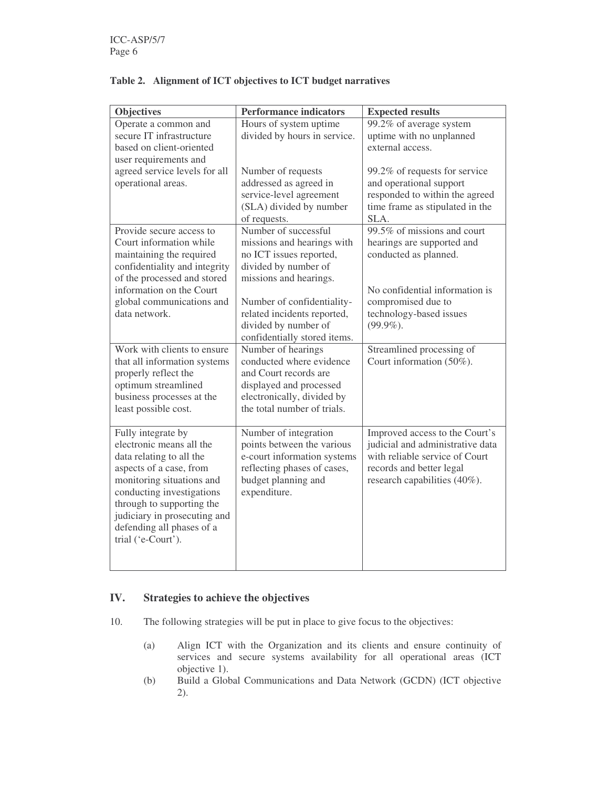| <b>Objectives</b>             | <b>Performance indicators</b> | <b>Expected results</b>          |  |  |  |  |
|-------------------------------|-------------------------------|----------------------------------|--|--|--|--|
| Operate a common and          | Hours of system uptime        | 99.2% of average system          |  |  |  |  |
| secure IT infrastructure      | divided by hours in service.  | uptime with no unplanned         |  |  |  |  |
| based on client-oriented      |                               | external access.                 |  |  |  |  |
| user requirements and         |                               |                                  |  |  |  |  |
| agreed service levels for all | Number of requests            | 99.2% of requests for service    |  |  |  |  |
| operational areas.            | addressed as agreed in        | and operational support          |  |  |  |  |
|                               | service-level agreement       | responded to within the agreed   |  |  |  |  |
|                               | (SLA) divided by number       | time frame as stipulated in the  |  |  |  |  |
|                               | of requests.                  | SLA.                             |  |  |  |  |
| Provide secure access to      | Number of successful          | 99.5% of missions and court      |  |  |  |  |
| Court information while       | missions and hearings with    | hearings are supported and       |  |  |  |  |
| maintaining the required      | no ICT issues reported,       | conducted as planned.            |  |  |  |  |
| confidentiality and integrity | divided by number of          |                                  |  |  |  |  |
| of the processed and stored   | missions and hearings.        |                                  |  |  |  |  |
| information on the Court      |                               | No confidential information is   |  |  |  |  |
| global communications and     | Number of confidentiality-    | compromised due to               |  |  |  |  |
| data network.                 | related incidents reported,   | technology-based issues          |  |  |  |  |
|                               | divided by number of          | $(99.9\%).$                      |  |  |  |  |
|                               | confidentially stored items.  |                                  |  |  |  |  |
| Work with clients to ensure   | Number of hearings            | Streamlined processing of        |  |  |  |  |
| that all information systems  | conducted where evidence      | Court information (50%).         |  |  |  |  |
| properly reflect the          | and Court records are         |                                  |  |  |  |  |
| optimum streamlined           | displayed and processed       |                                  |  |  |  |  |
| business processes at the     | electronically, divided by    |                                  |  |  |  |  |
| least possible cost.          | the total number of trials.   |                                  |  |  |  |  |
|                               |                               |                                  |  |  |  |  |
| Fully integrate by            | Number of integration         | Improved access to the Court's   |  |  |  |  |
| electronic means all the      | points between the various    | judicial and administrative data |  |  |  |  |
| data relating to all the      | e-court information systems   | with reliable service of Court   |  |  |  |  |
| aspects of a case, from       | reflecting phases of cases,   | records and better legal         |  |  |  |  |
| monitoring situations and     | budget planning and           | research capabilities (40%).     |  |  |  |  |
| conducting investigations     | expenditure.                  |                                  |  |  |  |  |
| through to supporting the     |                               |                                  |  |  |  |  |
| judiciary in prosecuting and  |                               |                                  |  |  |  |  |
| defending all phases of a     |                               |                                  |  |  |  |  |
| trial ('e-Court').            |                               |                                  |  |  |  |  |
|                               |                               |                                  |  |  |  |  |
|                               |                               |                                  |  |  |  |  |
|                               |                               |                                  |  |  |  |  |

### **Table 2. Alignment of ICT objectives to ICT budget narratives**

### **IV. Strategies to achieve the objectives**

- 10. The following strategies will be put in place to give focus to the objectives:
	- (a) Align ICT with the Organization and its clients and ensure continuity of services and secure systems availability for all operational areas (ICT objective 1).
	- (b) Build a Global Communications and Data Network (GCDN) (ICT objective 2).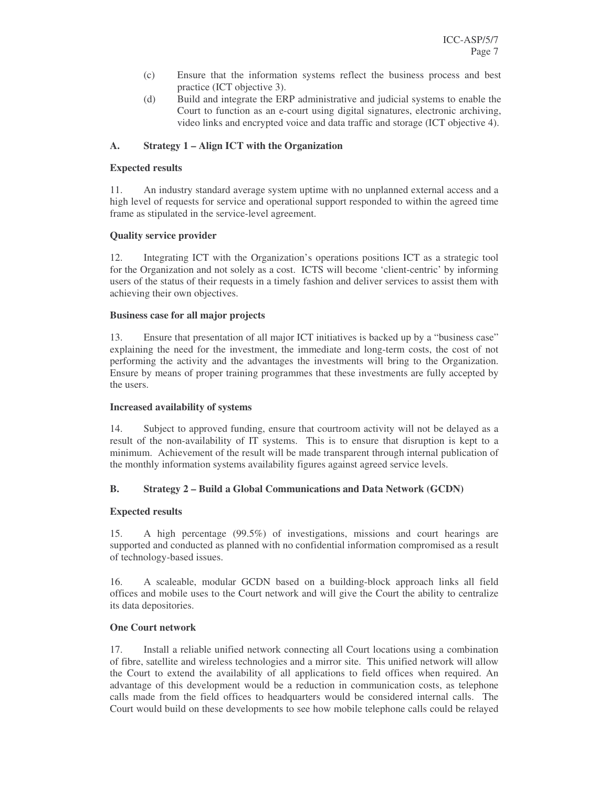- (c) Ensure that the information systems reflect the business process and best practice (ICT objective 3).
- (d) Build and integrate the ERP administrative and judicial systems to enable the Court to function as an e-court using digital signatures, electronic archiving, video links and encrypted voice and data traffic and storage (ICT objective 4).

#### **A. Strategy 1 – Align ICT with the Organization**

#### **Expected results**

11. An industry standard average system uptime with no unplanned external access and a high level of requests for service and operational support responded to within the agreed time frame as stipulated in the service-level agreement.

#### **Quality service provider**

12. Integrating ICT with the Organization's operations positions ICT as a strategic tool for the Organization and not solely as a cost. ICTS will become 'client-centric' by informing users of the status of their requests in a timely fashion and deliver services to assist them with achieving their own objectives.

#### **Business case for all major projects**

13. Ensure that presentation of all major ICT initiatives is backed up by a "business case" explaining the need for the investment, the immediate and long-term costs, the cost of not performing the activity and the advantages the investments will bring to the Organization. Ensure by means of proper training programmes that these investments are fully accepted by the users.

#### **Increased availability of systems**

14. Subject to approved funding, ensure that courtroom activity will not be delayed as a result of the non-availability of IT systems. This is to ensure that disruption is kept to a minimum. Achievement of the result will be made transparent through internal publication of the monthly information systems availability figures against agreed service levels.

#### **B. Strategy 2 – Build a Global Communications and Data Network (GCDN)**

#### **Expected results**

15. A high percentage (99.5%) of investigations, missions and court hearings are supported and conducted as planned with no confidential information compromised as a result of technology-based issues.

16. A scaleable, modular GCDN based on a building-block approach links all field offices and mobile uses to the Court network and will give the Court the ability to centralize its data depositories.

#### **One Court network**

17. Install a reliable unified network connecting all Court locations using a combination of fibre, satellite and wireless technologies and a mirror site. This unified network will allow the Court to extend the availability of all applications to field offices when required. An advantage of this development would be a reduction in communication costs, as telephone calls made from the field offices to headquarters would be considered internal calls. The Court would build on these developments to see how mobile telephone calls could be relayed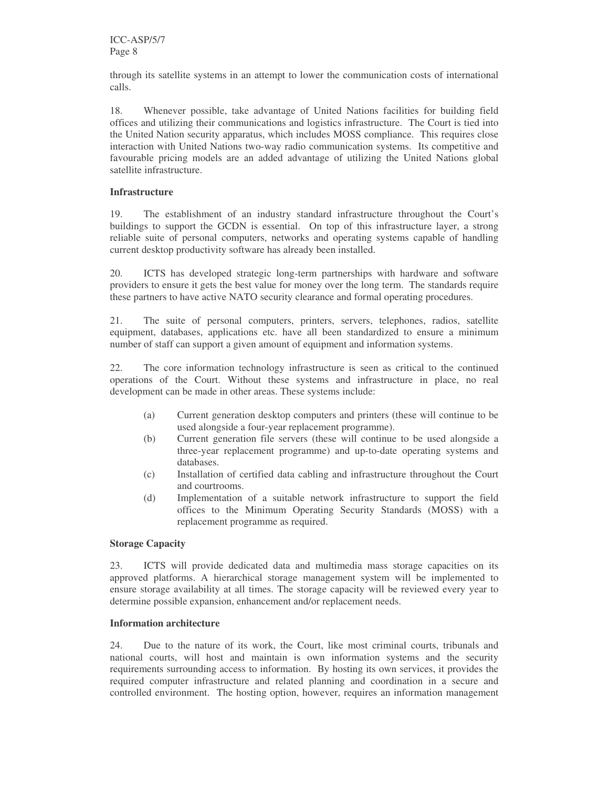through its satellite systems in an attempt to lower the communication costs of international calls.

18. Whenever possible, take advantage of United Nations facilities for building field offices and utilizing their communications and logistics infrastructure. The Court is tied into the United Nation security apparatus, which includes MOSS compliance. This requires close interaction with United Nations two-way radio communication systems. Its competitive and favourable pricing models are an added advantage of utilizing the United Nations global satellite infrastructure.

#### **Infrastructure**

19. The establishment of an industry standard infrastructure throughout the Court's buildings to support the GCDN is essential. On top of this infrastructure layer, a strong reliable suite of personal computers, networks and operating systems capable of handling current desktop productivity software has already been installed.

20. ICTS has developed strategic long-term partnerships with hardware and software providers to ensure it gets the best value for money over the long term. The standards require these partners to have active NATO security clearance and formal operating procedures.

21. The suite of personal computers, printers, servers, telephones, radios, satellite equipment, databases, applications etc. have all been standardized to ensure a minimum number of staff can support a given amount of equipment and information systems.

22. The core information technology infrastructure is seen as critical to the continued operations of the Court. Without these systems and infrastructure in place, no real development can be made in other areas. These systems include:

- (a) Current generation desktop computers and printers (these will continue to be used alongside a four-year replacement programme).
- (b) Current generation file servers (these will continue to be used alongside a three-year replacement programme) and up-to-date operating systems and databases.
- (c) Installation of certified data cabling and infrastructure throughout the Court and courtrooms.
- (d) Implementation of a suitable network infrastructure to support the field offices to the Minimum Operating Security Standards (MOSS) with a replacement programme as required.

#### **Storage Capacity**

23. ICTS will provide dedicated data and multimedia mass storage capacities on its approved platforms. A hierarchical storage management system will be implemented to ensure storage availability at all times. The storage capacity will be reviewed every year to determine possible expansion, enhancement and/or replacement needs.

#### **Information architecture**

24. Due to the nature of its work, the Court, like most criminal courts, tribunals and national courts, will host and maintain is own information systems and the security requirements surrounding access to information. By hosting its own services, it provides the required computer infrastructure and related planning and coordination in a secure and controlled environment. The hosting option, however, requires an information management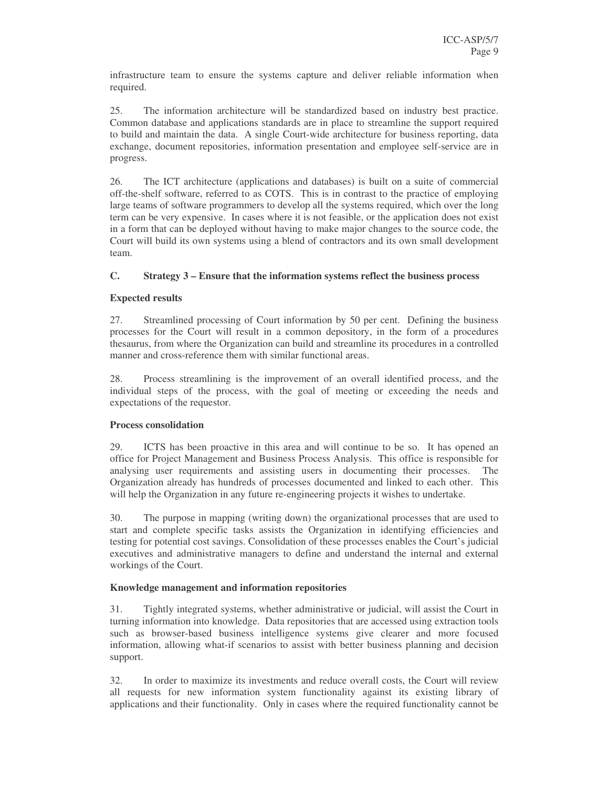infrastructure team to ensure the systems capture and deliver reliable information when required.

25. The information architecture will be standardized based on industry best practice. Common database and applications standards are in place to streamline the support required to build and maintain the data. A single Court-wide architecture for business reporting, data exchange, document repositories, information presentation and employee self-service are in progress.

26. The ICT architecture (applications and databases) is built on a suite of commercial off-the-shelf software, referred to as COTS. This is in contrast to the practice of employing large teams of software programmers to develop all the systems required, which over the long term can be very expensive. In cases where it is not feasible, or the application does not exist in a form that can be deployed without having to make major changes to the source code, the Court will build its own systems using a blend of contractors and its own small development team.

#### **C. Strategy 3 – Ensure that the information systems reflect the business process**

#### **Expected results**

27. Streamlined processing of Court information by 50 per cent. Defining the business processes for the Court will result in a common depository, in the form of a procedures thesaurus, from where the Organization can build and streamline its procedures in a controlled manner and cross-reference them with similar functional areas.

28. Process streamlining is the improvement of an overall identified process, and the individual steps of the process, with the goal of meeting or exceeding the needs and expectations of the requestor.

#### **Process consolidation**

29. ICTS has been proactive in this area and will continue to be so. It has opened an office for Project Management and Business Process Analysis. This office is responsible for analysing user requirements and assisting users in documenting their processes. The Organization already has hundreds of processes documented and linked to each other. This will help the Organization in any future re-engineering projects it wishes to undertake.

30. The purpose in mapping (writing down) the organizational processes that are used to start and complete specific tasks assists the Organization in identifying efficiencies and testing for potential cost savings. Consolidation of these processes enables the Court's judicial executives and administrative managers to define and understand the internal and external workings of the Court.

#### **Knowledge management and information repositories**

31. Tightly integrated systems, whether administrative or judicial, will assist the Court in turning information into knowledge. Data repositories that are accessed using extraction tools such as browser-based business intelligence systems give clearer and more focused information, allowing what-if scenarios to assist with better business planning and decision support.

32. In order to maximize its investments and reduce overall costs, the Court will review all requests for new information system functionality against its existing library of applications and their functionality. Only in cases where the required functionality cannot be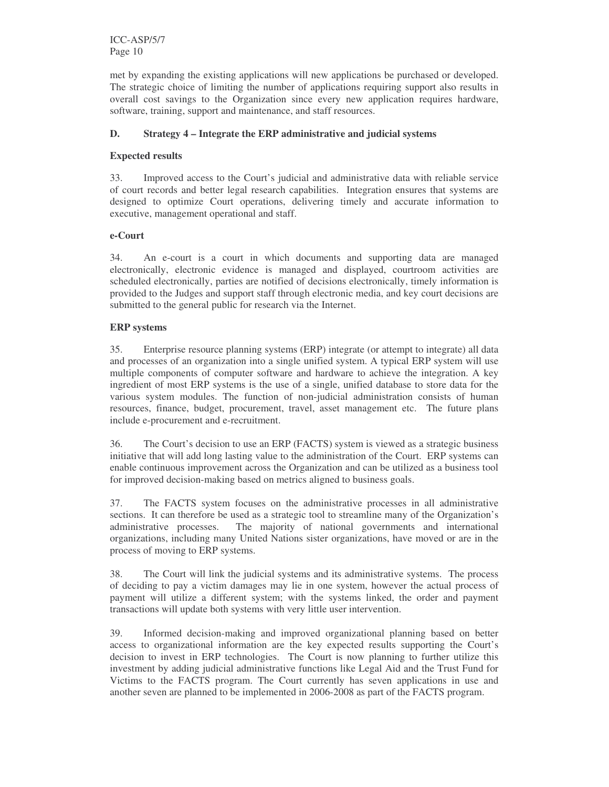ICC-ASP/5/7 Page 10

met by expanding the existing applications will new applications be purchased or developed. The strategic choice of limiting the number of applications requiring support also results in overall cost savings to the Organization since every new application requires hardware, software, training, support and maintenance, and staff resources.

#### **D. Strategy 4 – Integrate the ERP administrative and judicial systems**

#### **Expected results**

33. Improved access to the Court's judicial and administrative data with reliable service of court records and better legal research capabilities. Integration ensures that systems are designed to optimize Court operations, delivering timely and accurate information to executive, management operational and staff.

#### **e-Court**

34. An e-court is a court in which documents and supporting data are managed electronically, electronic evidence is managed and displayed, courtroom activities are scheduled electronically, parties are notified of decisions electronically, timely information is provided to the Judges and support staff through electronic media, and key court decisions are submitted to the general public for research via the Internet.

#### **ERP systems**

35. Enterprise resource planning systems (ERP) integrate (or attempt to integrate) all data and processes of an organization into a single unified system. A typical ERP system will use multiple components of computer software and hardware to achieve the integration. A key ingredient of most ERP systems is the use of a single, unified database to store data for the various system modules. The function of non-judicial administration consists of human resources, finance, budget, procurement, travel, asset management etc. The future plans include e-procurement and e-recruitment.

36. The Court's decision to use an ERP (FACTS) system is viewed as a strategic business initiative that will add long lasting value to the administration of the Court. ERP systems can enable continuous improvement across the Organization and can be utilized as a business tool for improved decision-making based on metrics aligned to business goals.

37. The FACTS system focuses on the administrative processes in all administrative sections. It can therefore be used as a strategic tool to streamline many of the Organization's administrative processes. The majority of national governments and international organizations, including many United Nations sister organizations, have moved or are in the process of moving to ERP systems.

38. The Court will link the judicial systems and its administrative systems. The process of deciding to pay a victim damages may lie in one system, however the actual process of payment will utilize a different system; with the systems linked, the order and payment transactions will update both systems with very little user intervention.

39. Informed decision-making and improved organizational planning based on better access to organizational information are the key expected results supporting the Court's decision to invest in ERP technologies. The Court is now planning to further utilize this investment by adding judicial administrative functions like Legal Aid and the Trust Fund for Victims to the FACTS program. The Court currently has seven applications in use and another seven are planned to be implemented in 2006-2008 as part of the FACTS program.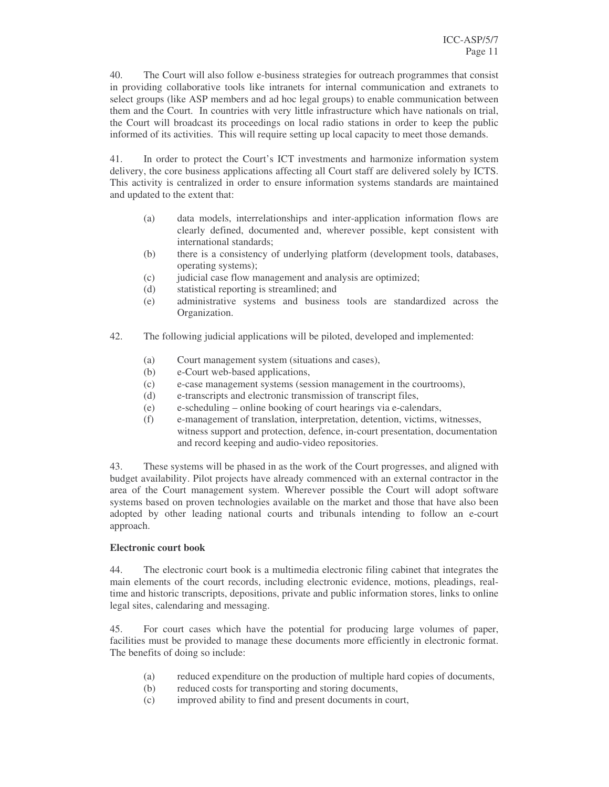40. The Court will also follow e-business strategies for outreach programmes that consist in providing collaborative tools like intranets for internal communication and extranets to select groups (like ASP members and ad hoc legal groups) to enable communication between them and the Court. In countries with very little infrastructure which have nationals on trial, the Court will broadcast its proceedings on local radio stations in order to keep the public informed of its activities. This will require setting up local capacity to meet those demands.

41. In order to protect the Court's ICT investments and harmonize information system delivery, the core business applications affecting all Court staff are delivered solely by ICTS. This activity is centralized in order to ensure information systems standards are maintained and updated to the extent that:

- (a) data models, interrelationships and inter-application information flows are clearly defined, documented and, wherever possible, kept consistent with international standards;
- (b) there is a consistency of underlying platform (development tools, databases, operating systems);
- (c) judicial case flow management and analysis are optimized;
- (d) statistical reporting is streamlined; and
- (e) administrative systems and business tools are standardized across the Organization.
- 42. The following judicial applications will be piloted, developed and implemented:
	- (a) Court management system (situations and cases),
	- (b) e-Court web-based applications,
	- (c) e-case management systems (session management in the courtrooms),
	- (d) e-transcripts and electronic transmission of transcript files,
	- (e) e-scheduling online booking of court hearings via e-calendars,
	- (f) e-management of translation, interpretation, detention, victims, witnesses, witness support and protection, defence, in-court presentation, documentation and record keeping and audio-video repositories.

43. These systems will be phased in as the work of the Court progresses, and aligned with budget availability. Pilot projects have already commenced with an external contractor in the area of the Court management system. Wherever possible the Court will adopt software systems based on proven technologies available on the market and those that have also been adopted by other leading national courts and tribunals intending to follow an e-court approach.

#### **Electronic court book**

44. The electronic court book is a multimedia electronic filing cabinet that integrates the main elements of the court records, including electronic evidence, motions, pleadings, realtime and historic transcripts, depositions, private and public information stores, links to online legal sites, calendaring and messaging.

45. For court cases which have the potential for producing large volumes of paper, facilities must be provided to manage these documents more efficiently in electronic format. The benefits of doing so include:

- (a) reduced expenditure on the production of multiple hard copies of documents,
- (b) reduced costs for transporting and storing documents,
- (c) improved ability to find and present documents in court,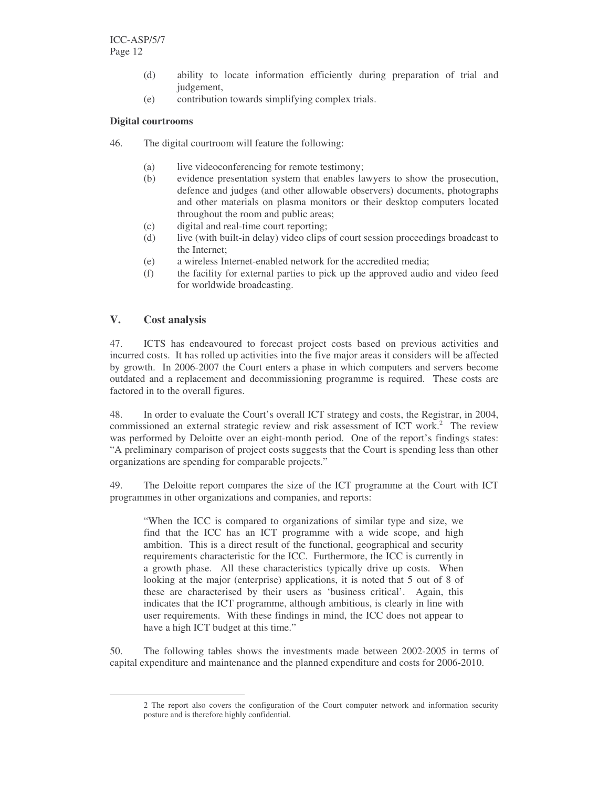- (d) ability to locate information efficiently during preparation of trial and judgement,
- (e) contribution towards simplifying complex trials.

#### **Digital courtrooms**

- 46. The digital courtroom will feature the following:
	- (a) live videoconferencing for remote testimony;
	- (b) evidence presentation system that enables lawyers to show the prosecution, defence and judges (and other allowable observers) documents, photographs and other materials on plasma monitors or their desktop computers located throughout the room and public areas;
	- (c) digital and real-time court reporting;
	- (d) live (with built-in delay) video clips of court session proceedings broadcast to the Internet;
	- (e) a wireless Internet-enabled network for the accredited media;
	- (f) the facility for external parties to pick up the approved audio and video feed for worldwide broadcasting.

#### **V. Cost analysis**

47. ICTS has endeavoured to forecast project costs based on previous activities and incurred costs. It has rolled up activities into the five major areas it considers will be affected by growth. In 2006-2007 the Court enters a phase in which computers and servers become outdated and a replacement and decommissioning programme is required. These costs are factored in to the overall figures.

48. In order to evaluate the Court's overall ICT strategy and costs, the Registrar, in 2004, commissioned an external strategic review and risk assessment of ICT work. <sup>2</sup> The review was performed by Deloitte over an eight-month period. One of the report's findings states: "A preliminary comparison of project costs suggests that the Court is spending less than other organizations are spending for comparable projects."

49. The Deloitte report compares the size of the ICT programme at the Court with ICT programmes in other organizations and companies, and reports:

"When the ICC is compared to organizations of similar type and size, we find that the ICC has an ICT programme with a wide scope, and high ambition. This is a direct result of the functional, geographical and security requirements characteristic for the ICC. Furthermore, the ICC is currently in a growth phase. All these characteristics typically drive up costs. When looking at the major (enterprise) applications, it is noted that 5 out of 8 of these are characterised by their users as 'business critical'. Again, this indicates that the ICT programme, although ambitious, is clearly in line with user requirements. With these findings in mind, the ICC does not appear to have a high ICT budget at this time."

50. The following tables shows the investments made between 2002-2005 in terms of capital expenditure and maintenance and the planned expenditure and costs for 2006-2010.

<sup>2</sup> The report also covers the configuration of the Court computer network and information security posture and is therefore highly confidential.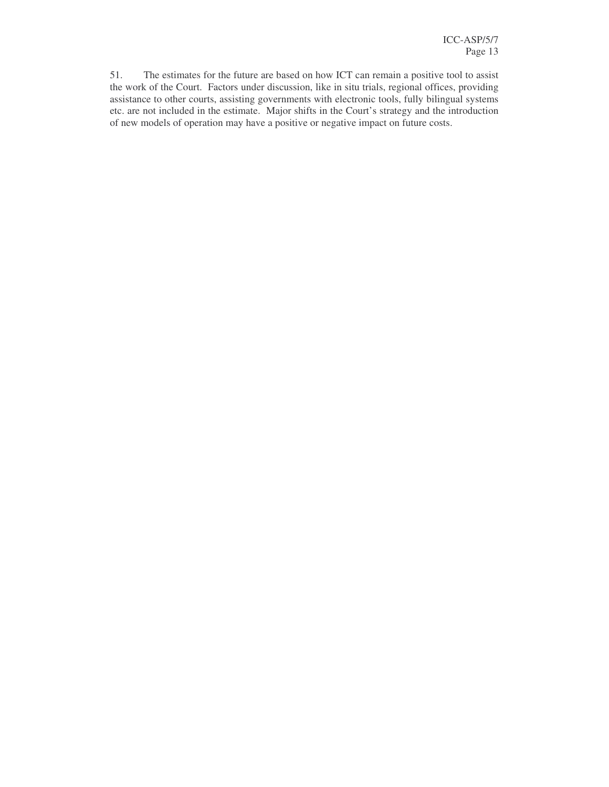51. The estimates for the future are based on how ICT can remain a positive tool to assist the work of the Court. Factors under discussion, like in situ trials, regional offices, providing assistance to other courts, assisting governments with electronic tools, fully bilingual systems etc. are not included in the estimate. Major shifts in the Court's strategy and the introduction of new models of operation may have a positive or negative impact on future costs.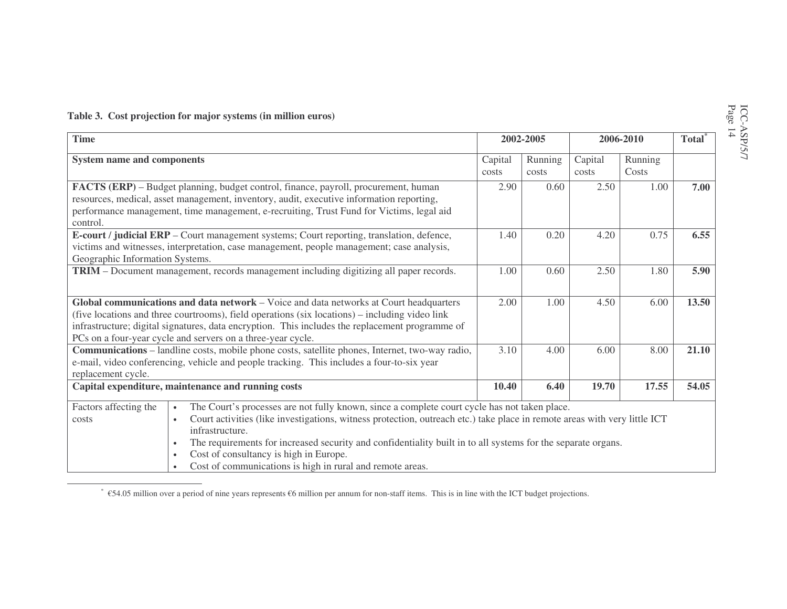| <b>Time</b>                                                                                                                                                                                                                                                                                                                                                                                                                                                                                                                                               |                  | 2002-2005        |                  | 2006-2010        |       |
|-----------------------------------------------------------------------------------------------------------------------------------------------------------------------------------------------------------------------------------------------------------------------------------------------------------------------------------------------------------------------------------------------------------------------------------------------------------------------------------------------------------------------------------------------------------|------------------|------------------|------------------|------------------|-------|
| <b>System name and components</b>                                                                                                                                                                                                                                                                                                                                                                                                                                                                                                                         | Capital<br>costs | Running<br>costs | Capital<br>costs | Running<br>Costs |       |
| <b>FACTS (ERP)</b> – Budget planning, budget control, finance, payroll, procurement, human<br>resources, medical, asset management, inventory, audit, executive information reporting,<br>performance management, time management, e-recruiting, Trust Fund for Victims, legal aid<br>control.                                                                                                                                                                                                                                                            | 2.90             | 0.60             | 2.50             | 1.00             | 7.00  |
| E-court / judicial ERP - Court management systems; Court reporting, translation, defence,<br>victims and witnesses, interpretation, case management, people management; case analysis,<br>Geographic Information Systems.                                                                                                                                                                                                                                                                                                                                 | 1.40             | 0.20             | 4.20             | 0.75             | 6.55  |
| <b>TRIM</b> – Document management, records management including digitizing all paper records.                                                                                                                                                                                                                                                                                                                                                                                                                                                             | 1.00             | 0.60             | 2.50             | 1.80             | 5.90  |
| Global communications and data network $-$ Voice and data networks at Court headquarters<br>(five locations and three courtrooms), field operations (six locations) – including video link<br>infrastructure; digital signatures, data encryption. This includes the replacement programme of<br>PCs on a four-year cycle and servers on a three-year cycle.                                                                                                                                                                                              | 2.00             | 1.00             | 4.50             | 6.00             | 13.50 |
| <b>Communications</b> – landline costs, mobile phone costs, satellite phones, Internet, two-way radio,<br>e-mail, video conferencing, vehicle and people tracking. This includes a four-to-six year<br>replacement cycle.                                                                                                                                                                                                                                                                                                                                 | 3.10             | 4.00             | 6.00             | 8.00             | 21.10 |
| Capital expenditure, maintenance and running costs                                                                                                                                                                                                                                                                                                                                                                                                                                                                                                        |                  | 6.40             | 19.70            | 17.55            | 54.05 |
| Factors affecting the<br>The Court's processes are not fully known, since a complete court cycle has not taken place.<br>$\bullet$<br>Court activities (like investigations, witness protection, outreach etc.) take place in remote areas with very little ICT<br>costs<br>$\bullet$<br>infrastructure.<br>The requirements for increased security and confidentiality built in to all systems for the separate organs.<br>$\bullet$<br>Cost of consultancy is high in Europe.<br>$\bullet$<br>Cost of communications is high in rural and remote areas. |                  |                  |                  |                  |       |

<sup>\*</sup> €54.05 million over <sup>a</sup> period of nine years represents €6 million per annum for non-staff items. This is in line with the ICT budget projections.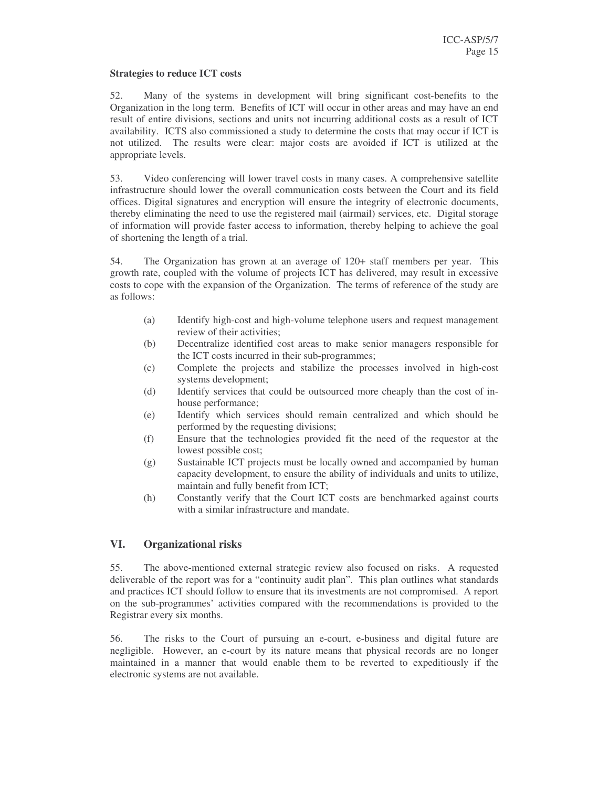#### **Strategies to reduce ICT costs**

52. Many of the systems in development will bring significant cost-benefits to the Organization in the long term. Benefits of ICT will occur in other areas and may have an end result of entire divisions, sections and units not incurring additional costs as a result of ICT availability. ICTS also commissioned a study to determine the costs that may occur if ICT is not utilized. The results were clear: major costs are avoided if ICT is utilized at the appropriate levels.

53. Video conferencing will lower travel costs in many cases. A comprehensive satellite infrastructure should lower the overall communication costs between the Court and its field offices. Digital signatures and encryption will ensure the integrity of electronic documents, thereby eliminating the need to use the registered mail (airmail) services, etc. Digital storage of information will provide faster access to information, thereby helping to achieve the goal of shortening the length of a trial.

54. The Organization has grown at an average of 120+ staff members per year. This growth rate, coupled with the volume of projects ICT has delivered, may result in excessive costs to cope with the expansion of the Organization. The terms of reference of the study are as follows:

- (a) Identify high-cost and high-volume telephone users and request management review of their activities;
- (b) Decentralize identified cost areas to make senior managers responsible for the ICT costs incurred in their sub-programmes;
- (c) Complete the projects and stabilize the processes involved in high-cost systems development;
- (d) Identify services that could be outsourced more cheaply than the cost of inhouse performance;
- (e) Identify which services should remain centralized and which should be performed by the requesting divisions;
- (f) Ensure that the technologies provided fit the need of the requestor at the lowest possible cost;
- (g) Sustainable ICT projects must be locally owned and accompanied by human capacity development, to ensure the ability of individuals and units to utilize, maintain and fully benefit from ICT;
- (h) Constantly verify that the Court ICT costs are benchmarked against courts with a similar infrastructure and mandate.

#### **VI. Organizational risks**

55. The above-mentioned external strategic review also focused on risks. A requested deliverable of the report was for a "continuity audit plan". This plan outlines what standards and practices ICT should follow to ensure that its investments are not compromised. A report on the sub-programmes' activities compared with the recommendations is provided to the Registrar every six months.

56. The risks to the Court of pursuing an e-court, e-business and digital future are negligible. However, an e-court by its nature means that physical records are no longer maintained in a manner that would enable them to be reverted to expeditiously if the electronic systems are not available.